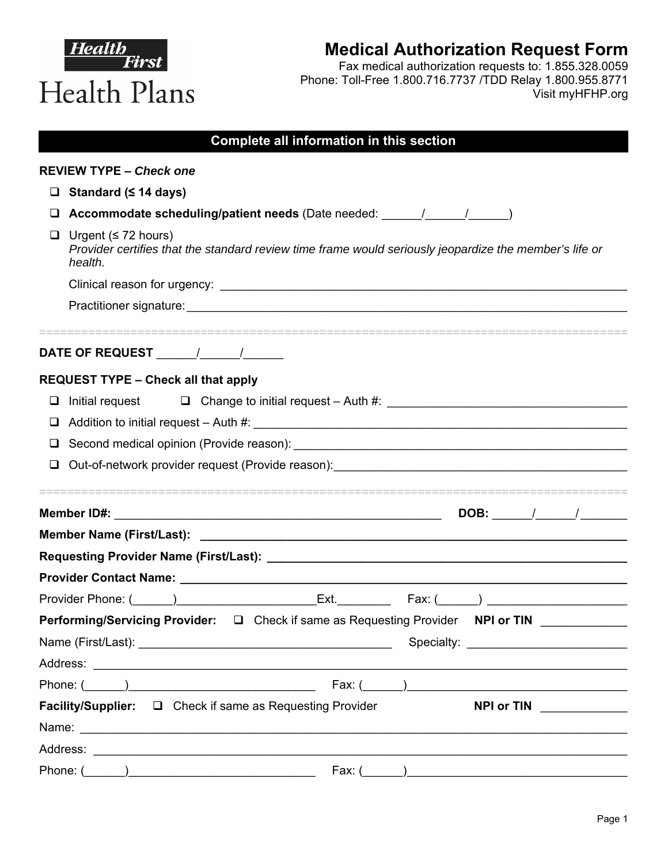|   | Health<br><b>Medical Authorization Request Form</b><br>First<br>Fax medical authorization requests to: 1.855.328.0059<br>Phone: Toll-Free 1.800.716.7737 /TDD Relay 1.800.955.8771<br>Health Plans<br>Visit myHFHP.org         |
|---|--------------------------------------------------------------------------------------------------------------------------------------------------------------------------------------------------------------------------------|
|   | Complete all information in this section                                                                                                                                                                                       |
|   | <b>REVIEW TYPE - Check one</b>                                                                                                                                                                                                 |
| □ | Standard (≤ 14 days)                                                                                                                                                                                                           |
| ⊔ | Accommodate scheduling/patient needs (Date needed: _____/ _____/ _________)                                                                                                                                                    |
| u | Urgent ( $\leq 72$ hours)<br>Provider certifies that the standard review time frame would seriously jeopardize the member's life or<br>health.                                                                                 |
|   |                                                                                                                                                                                                                                |
|   |                                                                                                                                                                                                                                |
|   |                                                                                                                                                                                                                                |
|   | <b>REQUEST TYPE - Check all that apply</b>                                                                                                                                                                                     |
| □ | Initial request                                                                                                                                                                                                                |
| ❏ |                                                                                                                                                                                                                                |
| ❏ |                                                                                                                                                                                                                                |
|   | Out-of-network provider request (Provide reason):                                                                                                                                                                              |
|   | =================================<br><b>Member ID#:</b>                                                                                                                                                                        |
|   |                                                                                                                                                                                                                                |
|   |                                                                                                                                                                                                                                |
|   | Provider Contact Name: University of the Contract of the Contract of the Contract of the Contract of the Contract of the Contract of the Contract of the Contract of the Contract of the Contract of the Contract of the Contr |
|   |                                                                                                                                                                                                                                |
|   | Performing/Servicing Provider: □ Check if same as Requesting Provider NPI or TIN ____________                                                                                                                                  |
|   |                                                                                                                                                                                                                                |
|   |                                                                                                                                                                                                                                |
|   |                                                                                                                                                                                                                                |
|   | <b>Facility/Supplier:</b> $\Box$ Check if same as Requesting Provider<br>NPI or TIN                                                                                                                                            |
|   | Name: Name: Name: Name: Name: Name: Name: Name: Name: Name: Name: Name: Name: Name: Name: Name: Name: Name: Name: Name: Name: Name: Name: Name: Name: Name: Name: Name: Name: Name: Name: Name: Name: Name: Name: Name: Name:  |
|   |                                                                                                                                                                                                                                |
|   | Fax: ( )<br>Phone: (                                                                                                                                                                                                           |